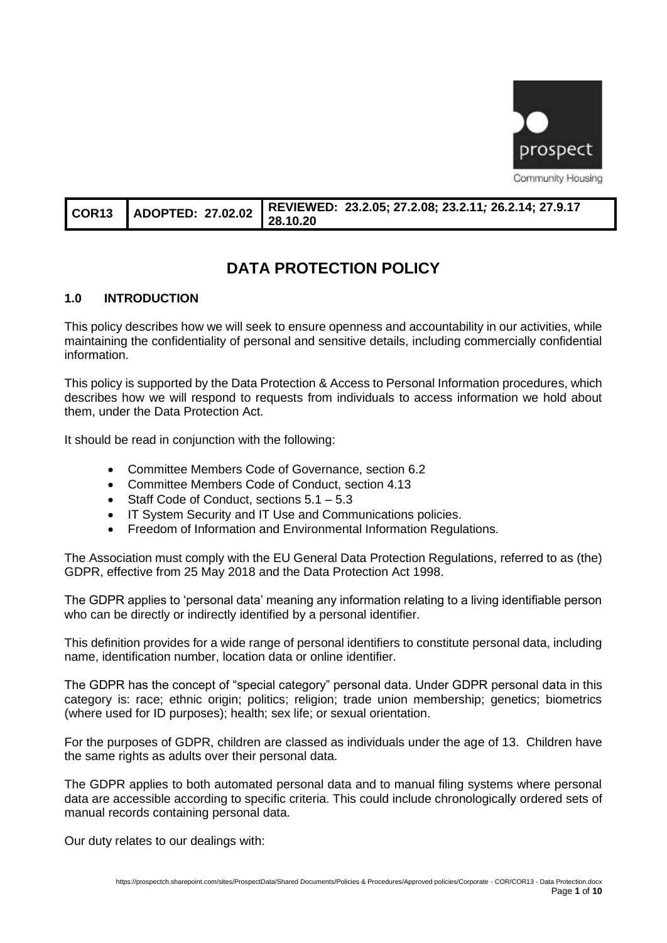

| Community Housing |  |
|-------------------|--|
|-------------------|--|

|  | COR13 ADOPTED: 27.02.02 REVIEWED: 23.2.05; 27.2.08; 23.2.11; 26.2.14; 27.9.17 |
|--|-------------------------------------------------------------------------------|
|  |                                                                               |

# **DATA PROTECTION POLICY**

# **1.0 INTRODUCTION**

This policy describes how we will seek to ensure openness and accountability in our activities, while maintaining the confidentiality of personal and sensitive details, including commercially confidential information.

This policy is supported by the Data Protection & Access to Personal Information procedures, which describes how we will respond to requests from individuals to access information we hold about them, under the Data Protection Act.

It should be read in conjunction with the following:

- Committee Members Code of Governance, section 6.2
- Committee Members Code of Conduct, section 4.13
- Staff Code of Conduct, sections 5.1 5.3
- IT System Security and IT Use and Communications policies.
- Freedom of Information and Environmental Information Regulations.

The Association must comply with the EU General Data Protection Regulations, referred to as (the) GDPR, effective from 25 May 2018 and the Data Protection Act 1998.

The GDPR applies to 'personal data' meaning any information relating to a living identifiable person who can be directly or indirectly identified by a personal identifier.

This definition provides for a wide range of personal identifiers to constitute personal data, including name, identification number, location data or online identifier.

The GDPR has the concept of "special category" personal data. Under GDPR personal data in this category is: race; ethnic origin; politics; religion; trade union membership; genetics; biometrics (where used for ID purposes); health; sex life; or sexual orientation.

For the purposes of GDPR, children are classed as individuals under the age of 13. Children have the same rights as adults over their personal data.

The GDPR applies to both automated personal data and to manual filing systems where personal data are accessible according to specific criteria. This could include chronologically ordered sets of manual records containing personal data.

Our duty relates to our dealings with: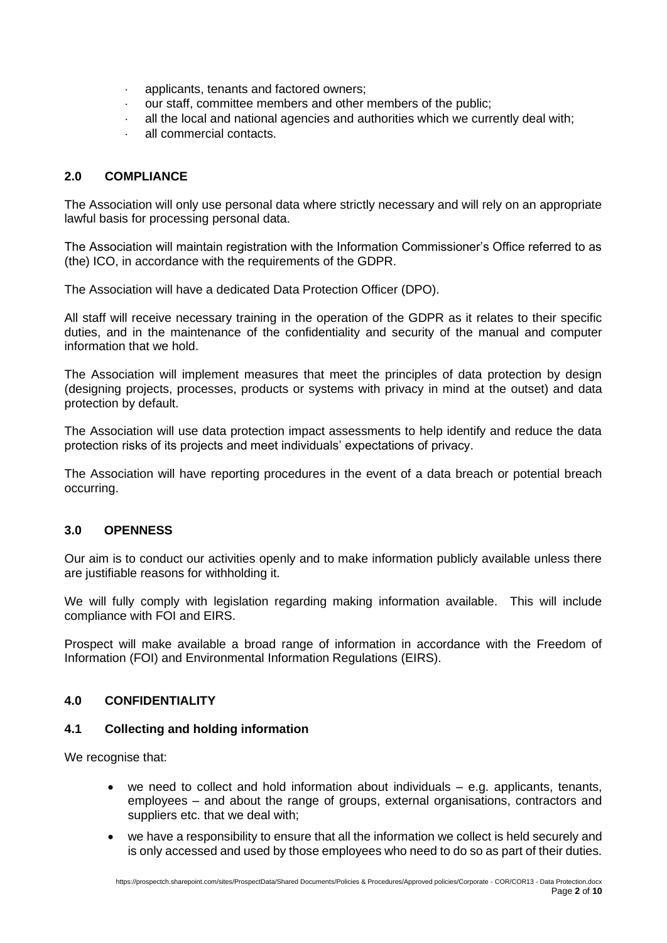- applicants, tenants and factored owners;
- our staff, committee members and other members of the public;
- all the local and national agencies and authorities which we currently deal with;
- all commercial contacts.

# **2.0 COMPLIANCE**

The Association will only use personal data where strictly necessary and will rely on an appropriate lawful basis for processing personal data.

The Association will maintain registration with the Information Commissioner's Office referred to as (the) ICO, in accordance with the requirements of the GDPR.

The Association will have a dedicated Data Protection Officer (DPO).

All staff will receive necessary training in the operation of the GDPR as it relates to their specific duties, and in the maintenance of the confidentiality and security of the manual and computer information that we hold.

The Association will implement measures that meet the principles of data protection by design (designing projects, processes, products or systems with privacy in mind at the outset) and data protection by default.

The Association will use data protection impact assessments to help identify and reduce the data protection risks of its projects and meet individuals' expectations of privacy.

The Association will have reporting procedures in the event of a data breach or potential breach occurring.

# **3.0 OPENNESS**

Our aim is to conduct our activities openly and to make information publicly available unless there are justifiable reasons for withholding it.

We will fully comply with legislation regarding making information available. This will include compliance with FOI and EIRS.

Prospect will make available a broad range of information in accordance with the Freedom of Information (FOI) and Environmental Information Regulations (EIRS).

# **4.0 CONFIDENTIALITY**

## **4.1 Collecting and holding information**

We recognise that:

- we need to collect and hold information about individuals e.g. applicants, tenants, employees – and about the range of groups, external organisations, contractors and suppliers etc. that we deal with;
- we have a responsibility to ensure that all the information we collect is held securely and is only accessed and used by those employees who need to do so as part of their duties.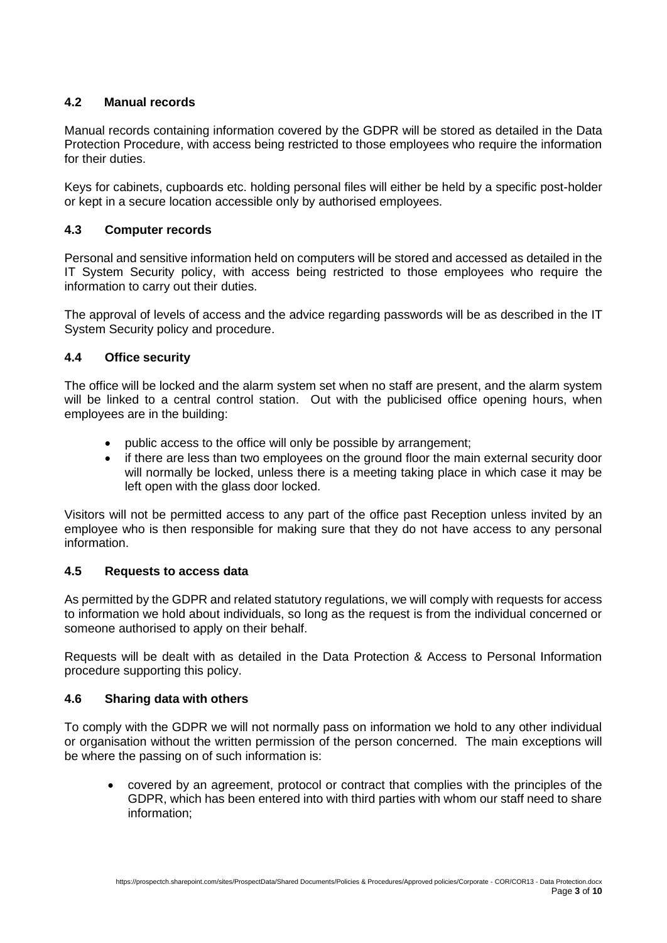# **4.2 Manual records**

Manual records containing information covered by the GDPR will be stored as detailed in the Data Protection Procedure, with access being restricted to those employees who require the information for their duties.

Keys for cabinets, cupboards etc. holding personal files will either be held by a specific post-holder or kept in a secure location accessible only by authorised employees.

# **4.3 Computer records**

Personal and sensitive information held on computers will be stored and accessed as detailed in the IT System Security policy, with access being restricted to those employees who require the information to carry out their duties.

The approval of levels of access and the advice regarding passwords will be as described in the IT System Security policy and procedure.

# **4.4 Office security**

The office will be locked and the alarm system set when no staff are present, and the alarm system will be linked to a central control station. Out with the publicised office opening hours, when employees are in the building:

- public access to the office will only be possible by arrangement;
- if there are less than two employees on the ground floor the main external security door will normally be locked, unless there is a meeting taking place in which case it may be left open with the glass door locked.

Visitors will not be permitted access to any part of the office past Reception unless invited by an employee who is then responsible for making sure that they do not have access to any personal information.

# **4.5 Requests to access data**

As permitted by the GDPR and related statutory regulations, we will comply with requests for access to information we hold about individuals, so long as the request is from the individual concerned or someone authorised to apply on their behalf.

Requests will be dealt with as detailed in the Data Protection & Access to Personal Information procedure supporting this policy.

# **4.6 Sharing data with others**

To comply with the GDPR we will not normally pass on information we hold to any other individual or organisation without the written permission of the person concerned. The main exceptions will be where the passing on of such information is:

• covered by an agreement, protocol or contract that complies with the principles of the GDPR, which has been entered into with third parties with whom our staff need to share information;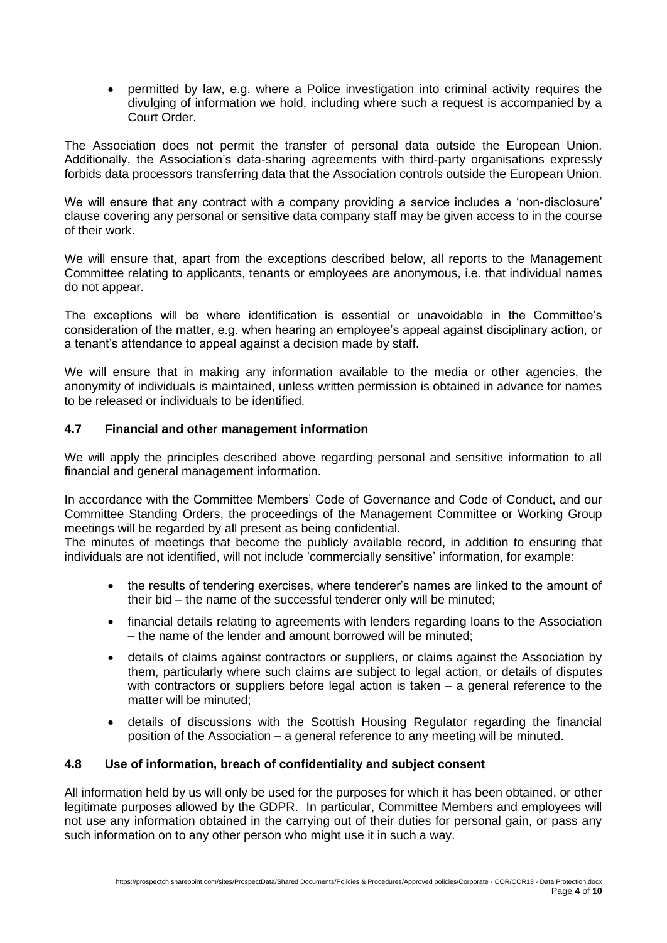• permitted by law, e.g. where a Police investigation into criminal activity requires the divulging of information we hold, including where such a request is accompanied by a Court Order.

The Association does not permit the transfer of personal data outside the European Union. Additionally, the Association's data-sharing agreements with third-party organisations expressly forbids data processors transferring data that the Association controls outside the European Union.

We will ensure that any contract with a company providing a service includes a 'non-disclosure' clause covering any personal or sensitive data company staff may be given access to in the course of their work.

We will ensure that, apart from the exceptions described below, all reports to the Management Committee relating to applicants, tenants or employees are anonymous, i.e. that individual names do not appear.

The exceptions will be where identification is essential or unavoidable in the Committee's consideration of the matter, e.g. when hearing an employee's appeal against disciplinary action, or a tenant's attendance to appeal against a decision made by staff.

We will ensure that in making any information available to the media or other agencies, the anonymity of individuals is maintained, unless written permission is obtained in advance for names to be released or individuals to be identified.

# **4.7 Financial and other management information**

We will apply the principles described above regarding personal and sensitive information to all financial and general management information.

In accordance with the Committee Members' Code of Governance and Code of Conduct, and our Committee Standing Orders, the proceedings of the Management Committee or Working Group meetings will be regarded by all present as being confidential.

The minutes of meetings that become the publicly available record, in addition to ensuring that individuals are not identified, will not include 'commercially sensitive' information, for example:

- the results of tendering exercises, where tenderer's names are linked to the amount of their bid – the name of the successful tenderer only will be minuted;
- financial details relating to agreements with lenders regarding loans to the Association – the name of the lender and amount borrowed will be minuted;
- details of claims against contractors or suppliers, or claims against the Association by them, particularly where such claims are subject to legal action, or details of disputes with contractors or suppliers before legal action is taken – a general reference to the matter will be minuted;
- details of discussions with the Scottish Housing Regulator regarding the financial position of the Association – a general reference to any meeting will be minuted.

# **4.8 Use of information, breach of confidentiality and subject consent**

All information held by us will only be used for the purposes for which it has been obtained, or other legitimate purposes allowed by the GDPR. In particular, Committee Members and employees will not use any information obtained in the carrying out of their duties for personal gain, or pass any such information on to any other person who might use it in such a way.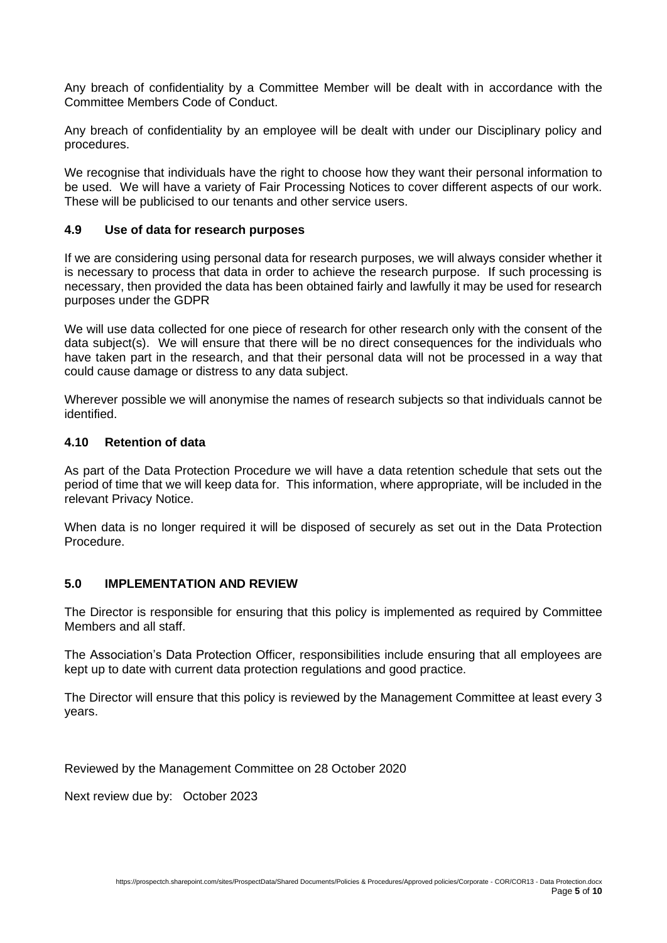Any breach of confidentiality by a Committee Member will be dealt with in accordance with the Committee Members Code of Conduct.

Any breach of confidentiality by an employee will be dealt with under our Disciplinary policy and procedures.

We recognise that individuals have the right to choose how they want their personal information to be used. We will have a variety of Fair Processing Notices to cover different aspects of our work. These will be publicised to our tenants and other service users.

## **4.9 Use of data for research purposes**

If we are considering using personal data for research purposes, we will always consider whether it is necessary to process that data in order to achieve the research purpose. If such processing is necessary, then provided the data has been obtained fairly and lawfully it may be used for research purposes under the GDPR

We will use data collected for one piece of research for other research only with the consent of the data subject(s). We will ensure that there will be no direct consequences for the individuals who have taken part in the research, and that their personal data will not be processed in a way that could cause damage or distress to any data subject.

Wherever possible we will anonymise the names of research subjects so that individuals cannot be identified.

### **4.10 Retention of data**

As part of the Data Protection Procedure we will have a data retention schedule that sets out the period of time that we will keep data for. This information, where appropriate, will be included in the relevant Privacy Notice.

When data is no longer required it will be disposed of securely as set out in the Data Protection Procedure.

# **5.0 IMPLEMENTATION AND REVIEW**

The Director is responsible for ensuring that this policy is implemented as required by Committee Members and all staff.

The Association's Data Protection Officer, responsibilities include ensuring that all employees are kept up to date with current data protection regulations and good practice.

The Director will ensure that this policy is reviewed by the Management Committee at least every 3 years.

Reviewed by the Management Committee on 28 October 2020

Next review due by: October 2023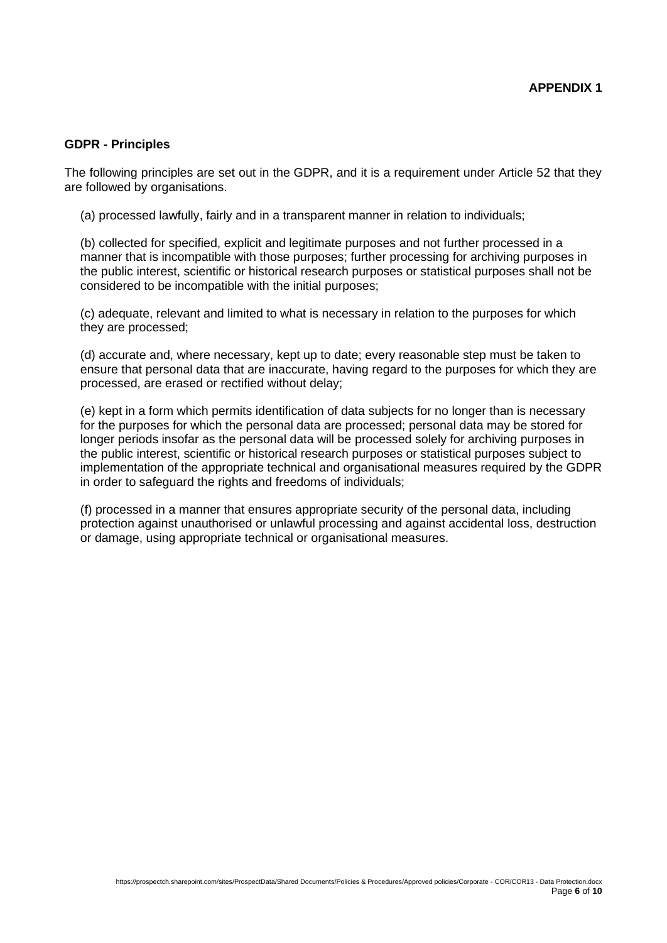#### **GDPR - Principles**

The following principles are set out in the GDPR, and it is a requirement under Article 52 that they are followed by organisations.

(a) processed lawfully, fairly and in a transparent manner in relation to individuals;

(b) collected for specified, explicit and legitimate purposes and not further processed in a manner that is incompatible with those purposes; further processing for archiving purposes in the public interest, scientific or historical research purposes or statistical purposes shall not be considered to be incompatible with the initial purposes;

(c) adequate, relevant and limited to what is necessary in relation to the purposes for which they are processed;

(d) accurate and, where necessary, kept up to date; every reasonable step must be taken to ensure that personal data that are inaccurate, having regard to the purposes for which they are processed, are erased or rectified without delay;

(e) kept in a form which permits identification of data subjects for no longer than is necessary for the purposes for which the personal data are processed; personal data may be stored for longer periods insofar as the personal data will be processed solely for archiving purposes in the public interest, scientific or historical research purposes or statistical purposes subject to implementation of the appropriate technical and organisational measures required by the GDPR in order to safeguard the rights and freedoms of individuals;

(f) processed in a manner that ensures appropriate security of the personal data, including protection against unauthorised or unlawful processing and against accidental loss, destruction or damage, using appropriate technical or organisational measures.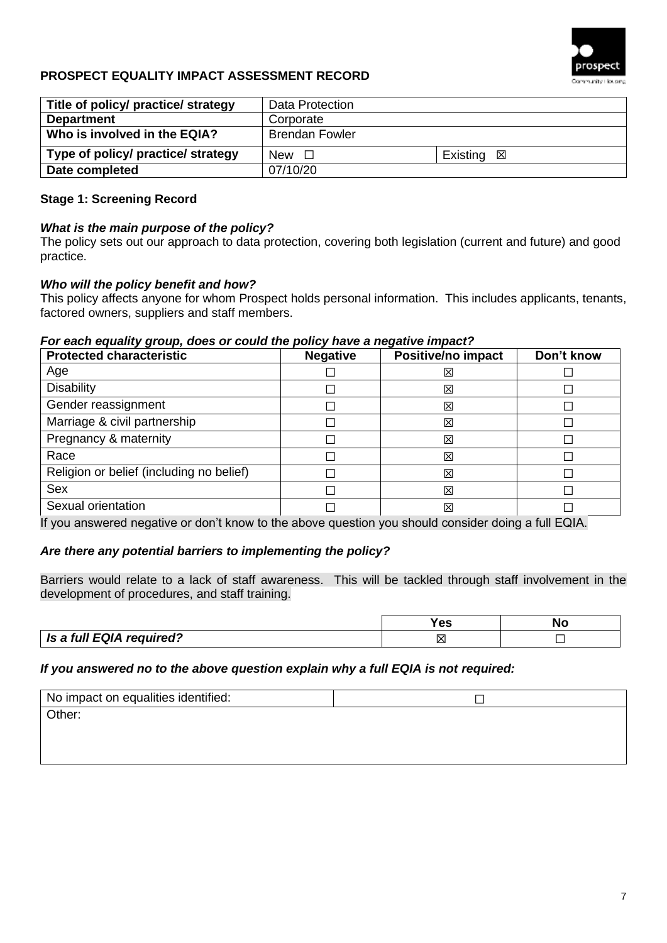

# **PROSPECT EQUALITY IMPACT ASSESSMENT RECORD**

| Title of policy/ practice/ strategy | Data Protection       |               |
|-------------------------------------|-----------------------|---------------|
| <b>Department</b>                   | Corporate             |               |
| Who is involved in the EQIA?        | <b>Brendan Fowler</b> |               |
| Type of policy/ practice/ strategy  | <b>New</b><br>$\Box$  | Existing<br>⊠ |
| Date completed                      | 07/10/20              |               |

# **Stage 1: Screening Record**

## *What is the main purpose of the policy?*

The policy sets out our approach to data protection, covering both legislation (current and future) and good practice.

#### *Who will the policy benefit and how?*

This policy affects anyone for whom Prospect holds personal information. This includes applicants, tenants, factored owners, suppliers and staff members.

# *For each equality group, does or could the policy have a negative impact?*

| <b>Protected characteristic</b>          | <b>Negative</b> | Positive/no impact | Don't know |
|------------------------------------------|-----------------|--------------------|------------|
| Age                                      |                 | 区                  |            |
| <b>Disability</b>                        |                 | 区                  |            |
| Gender reassignment                      |                 | 区                  |            |
| Marriage & civil partnership             |                 | 区                  |            |
| Pregnancy & maternity                    |                 | 区                  |            |
| Race                                     |                 | 区                  |            |
| Religion or belief (including no belief) |                 | 区                  |            |
| <b>Sex</b>                               |                 | 区                  |            |
| Sexual orientation                       |                 | 区                  |            |

If you answered negative or don't know to the above question you should consider doing a full EQIA.

# *Are there any potential barriers to implementing the policy?*

Barriers would relate to a lack of staff awareness. This will be tackled through staff involvement in the development of procedures, and staff training.

|                          | -- | NC |
|--------------------------|----|----|
| Is a full EQIA required? | ⌒  |    |

# *If you answered no to the above question explain why a full EQIA is not required:*

| No impact on equalities identified: |  |
|-------------------------------------|--|
| Other:                              |  |
|                                     |  |
|                                     |  |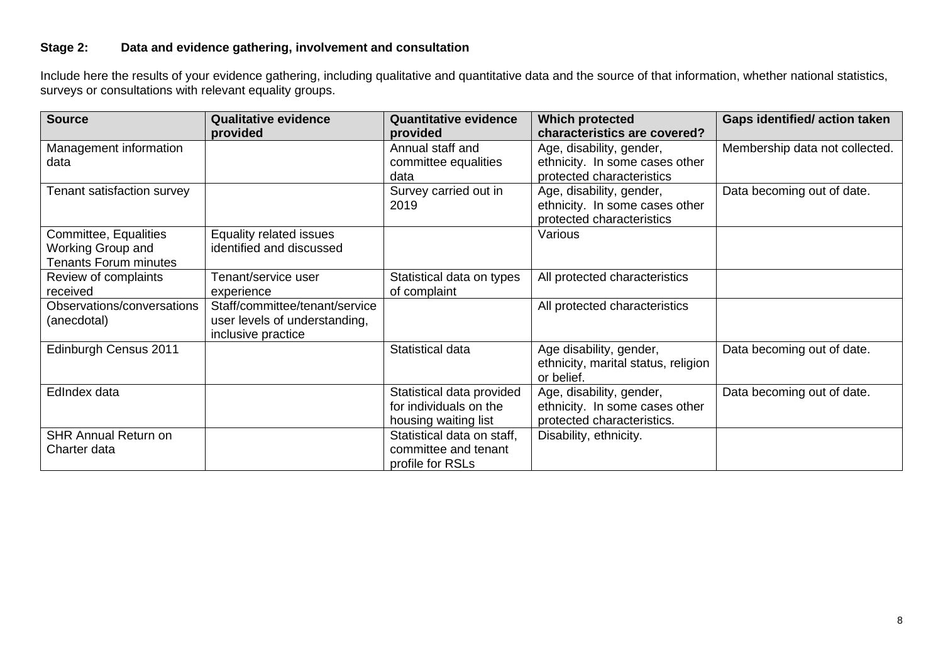# **Stage 2: Data and evidence gathering, involvement and consultation**

Include here the results of your evidence gathering, including qualitative and quantitative data and the source of that information, whether national statistics, surveys or consultations with relevant equality groups.

| <b>Source</b>                | <b>Qualitative evidence</b>    | <b>Quantitative evidence</b> | <b>Which protected</b>              | <b>Gaps identified/ action taken</b> |
|------------------------------|--------------------------------|------------------------------|-------------------------------------|--------------------------------------|
|                              | provided                       | provided                     | characteristics are covered?        |                                      |
| Management information       |                                | Annual staff and             | Age, disability, gender,            | Membership data not collected.       |
| data                         |                                | committee equalities         | ethnicity. In some cases other      |                                      |
|                              |                                | data                         | protected characteristics           |                                      |
| Tenant satisfaction survey   |                                | Survey carried out in        | Age, disability, gender,            | Data becoming out of date.           |
|                              |                                | 2019                         | ethnicity. In some cases other      |                                      |
|                              |                                |                              | protected characteristics           |                                      |
| Committee, Equalities        | Equality related issues        |                              | Various                             |                                      |
| Working Group and            | identified and discussed       |                              |                                     |                                      |
| <b>Tenants Forum minutes</b> |                                |                              |                                     |                                      |
| Review of complaints         | Tenant/service user            | Statistical data on types    | All protected characteristics       |                                      |
| received                     | experience                     | of complaint                 |                                     |                                      |
| Observations/conversations   | Staff/committee/tenant/service |                              | All protected characteristics       |                                      |
| (anecdotal)                  | user levels of understanding,  |                              |                                     |                                      |
|                              | inclusive practice             |                              |                                     |                                      |
| Edinburgh Census 2011        |                                | Statistical data             | Age disability, gender,             | Data becoming out of date.           |
|                              |                                |                              | ethnicity, marital status, religion |                                      |
|                              |                                |                              | or belief.                          |                                      |
| EdIndex data                 |                                | Statistical data provided    | Age, disability, gender,            | Data becoming out of date.           |
|                              |                                | for individuals on the       | ethnicity. In some cases other      |                                      |
|                              |                                | housing waiting list         | protected characteristics.          |                                      |
| <b>SHR Annual Return on</b>  |                                | Statistical data on staff,   | Disability, ethnicity.              |                                      |
| Charter data                 |                                | committee and tenant         |                                     |                                      |
|                              |                                | profile for RSLs             |                                     |                                      |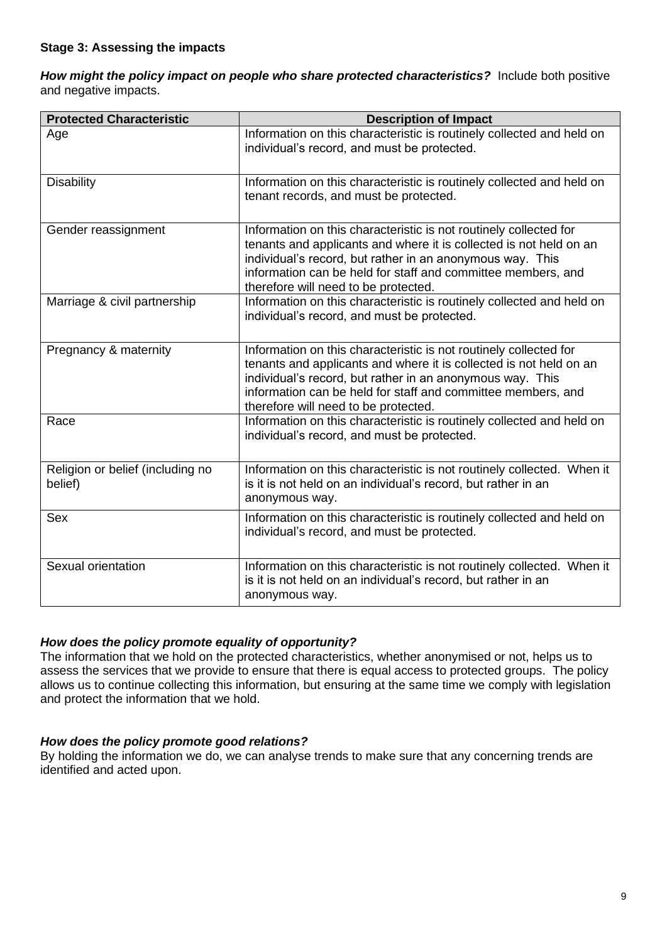| How might the policy impact on people who share protected characteristics? Include both positive |  |
|--------------------------------------------------------------------------------------------------|--|
| and negative impacts.                                                                            |  |

| <b>Protected Characteristic</b>             | <b>Description of Impact</b>                                                                                                                                                                                                                                                                                 |  |
|---------------------------------------------|--------------------------------------------------------------------------------------------------------------------------------------------------------------------------------------------------------------------------------------------------------------------------------------------------------------|--|
| Age                                         | Information on this characteristic is routinely collected and held on<br>individual's record, and must be protected.                                                                                                                                                                                         |  |
| <b>Disability</b>                           | Information on this characteristic is routinely collected and held on<br>tenant records, and must be protected.                                                                                                                                                                                              |  |
| Gender reassignment                         | Information on this characteristic is not routinely collected for<br>tenants and applicants and where it is collected is not held on an<br>individual's record, but rather in an anonymous way. This<br>information can be held for staff and committee members, and<br>therefore will need to be protected. |  |
| Marriage & civil partnership                | Information on this characteristic is routinely collected and held on<br>individual's record, and must be protected.                                                                                                                                                                                         |  |
| Pregnancy & maternity                       | Information on this characteristic is not routinely collected for<br>tenants and applicants and where it is collected is not held on an<br>individual's record, but rather in an anonymous way. This<br>information can be held for staff and committee members, and<br>therefore will need to be protected. |  |
| Race                                        | Information on this characteristic is routinely collected and held on<br>individual's record, and must be protected.                                                                                                                                                                                         |  |
| Religion or belief (including no<br>belief) | Information on this characteristic is not routinely collected. When it<br>is it is not held on an individual's record, but rather in an<br>anonymous way.                                                                                                                                                    |  |
| Sex                                         | Information on this characteristic is routinely collected and held on<br>individual's record, and must be protected.                                                                                                                                                                                         |  |
| Sexual orientation                          | Information on this characteristic is not routinely collected. When it<br>is it is not held on an individual's record, but rather in an<br>anonymous way.                                                                                                                                                    |  |

# *How does the policy promote equality of opportunity?*

The information that we hold on the protected characteristics, whether anonymised or not, helps us to assess the services that we provide to ensure that there is equal access to protected groups. The policy allows us to continue collecting this information, but ensuring at the same time we comply with legislation and protect the information that we hold.

# *How does the policy promote good relations?*

By holding the information we do, we can analyse trends to make sure that any concerning trends are identified and acted upon.